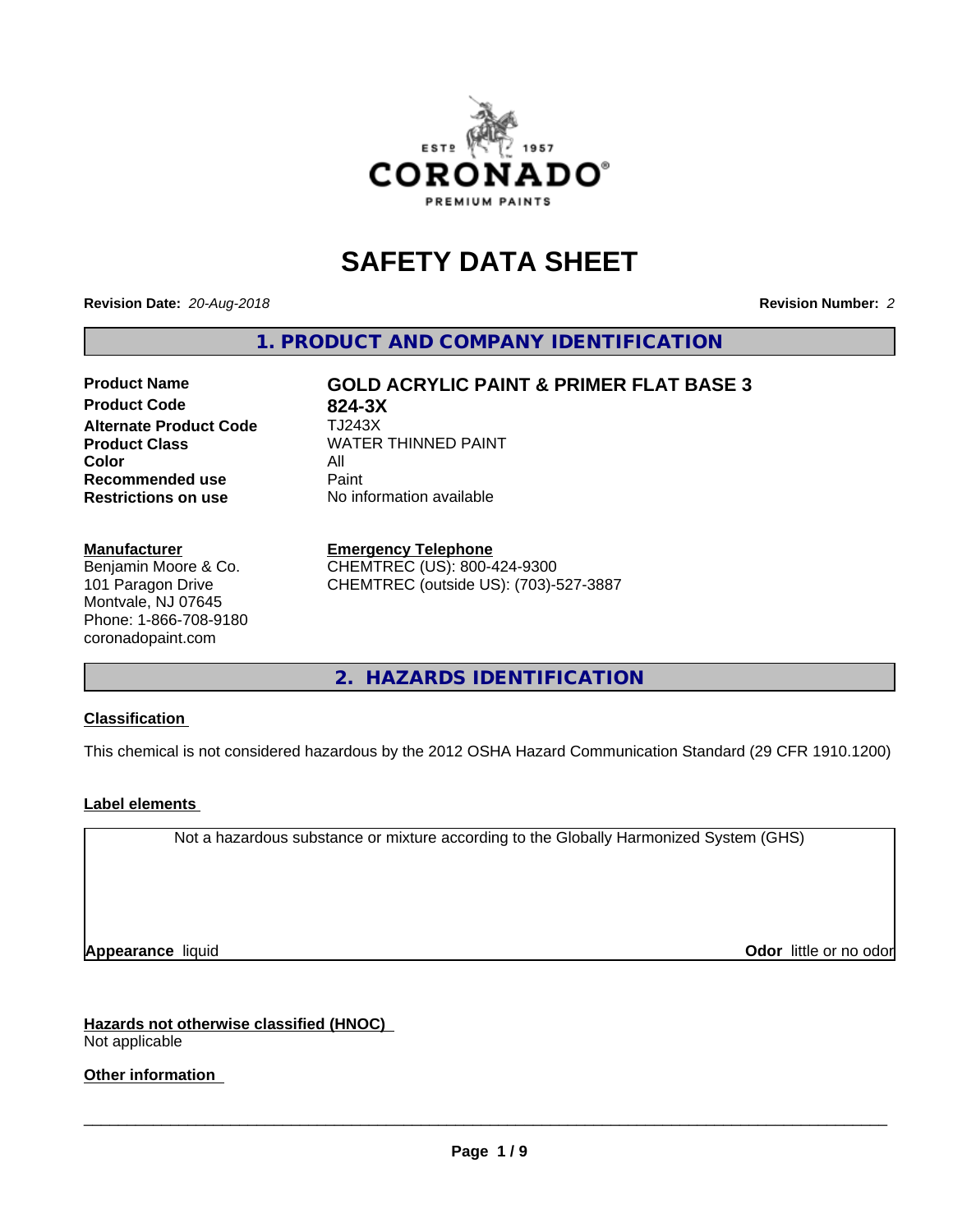

# **SAFETY DATA SHEET**

**Revision Date:** *20-Aug-2018* **Revision Number:** *2*

**1. PRODUCT AND COMPANY IDENTIFICATION**

## **Product Code 624-3X<br>
<b>Alternate Product Code** TJ243X **Alternate Product Code Product Class WATER THINNED PAINT Color** All All<br>**Recommended use** Paint **Recommended use Restrictions on use** No information available

**Product Name GOLD ACRYLIC PAINT & PRIMER FLAT BASE 3**

**Manufacturer**

Benjamin Moore & Co. 101 Paragon Drive Montvale, NJ 07645 Phone: 1-866-708-9180 coronadopaint.com

#### **Emergency Telephone**

CHEMTREC (US): 800-424-9300 CHEMTREC (outside US): (703)-527-3887

**2. HAZARDS IDENTIFICATION**

#### **Classification**

This chemical is not considered hazardous by the 2012 OSHA Hazard Communication Standard (29 CFR 1910.1200)

#### **Label elements**

Not a hazardous substance or mixture according to the Globally Harmonized System (GHS)

**Appearance** liquid **Contract Contract Contract Contract Contract Contract Contract Contract Contract Contract Contract Contract Contract Contract Contract Contract Contract Contract Contract Contract Contract Contract Con** 

**Hazards not otherwise classified (HNOC)** Not applicable

**Other information**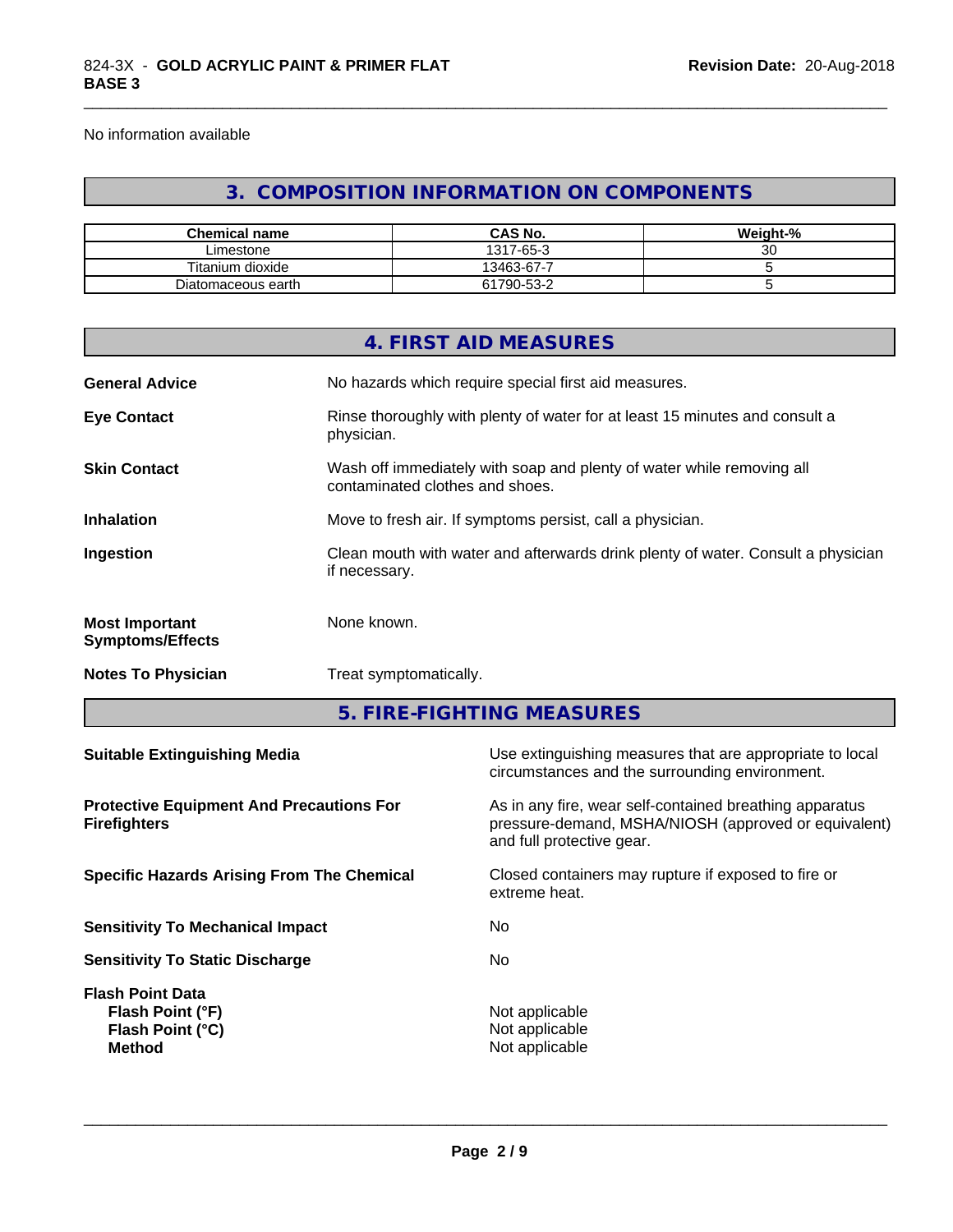No information available

## **3. COMPOSITION INFORMATION ON COMPONENTS**

\_\_\_\_\_\_\_\_\_\_\_\_\_\_\_\_\_\_\_\_\_\_\_\_\_\_\_\_\_\_\_\_\_\_\_\_\_\_\_\_\_\_\_\_\_\_\_\_\_\_\_\_\_\_\_\_\_\_\_\_\_\_\_\_\_\_\_\_\_\_\_\_\_\_\_\_\_\_\_\_\_\_\_\_\_\_\_\_\_\_\_\_\_

| <b>Chemical name</b> | <b>CAS No.</b>       | Weight-% |
|----------------------|----------------------|----------|
| ∟imestone            | $7 - 65 - 3$<br>1317 | ~~<br>ັບ |
| Titanium dioxide     | 13463-67-7           |          |
| Diatomaceous earth   | 61790-53-2           |          |

|                                                                        |               | 4. FIRST AID MEASURES                                                                                                                        |  |
|------------------------------------------------------------------------|---------------|----------------------------------------------------------------------------------------------------------------------------------------------|--|
| <b>General Advice</b>                                                  |               | No hazards which require special first aid measures.                                                                                         |  |
| <b>Eye Contact</b>                                                     | physician.    | Rinse thoroughly with plenty of water for at least 15 minutes and consult a                                                                  |  |
| <b>Skin Contact</b>                                                    |               | Wash off immediately with soap and plenty of water while removing all<br>contaminated clothes and shoes.                                     |  |
| <b>Inhalation</b>                                                      |               | Move to fresh air. If symptoms persist, call a physician.                                                                                    |  |
| Ingestion                                                              | if necessary. | Clean mouth with water and afterwards drink plenty of water. Consult a physician                                                             |  |
| <b>Most Important</b><br><b>Symptoms/Effects</b>                       | None known.   |                                                                                                                                              |  |
| <b>Notes To Physician</b>                                              |               | Treat symptomatically.                                                                                                                       |  |
|                                                                        |               | 5. FIRE-FIGHTING MEASURES                                                                                                                    |  |
| <b>Suitable Extinguishing Media</b>                                    |               | Use extinguishing measures that are appropriate to local<br>circumstances and the surrounding environment.                                   |  |
| <b>Protective Equipment And Precautions For</b><br><b>Firefighters</b> |               | As in any fire, wear self-contained breathing apparatus<br>pressure-demand, MSHA/NIOSH (approved or equivalent)<br>and full protective gear. |  |
| <b>Specific Hazards Arising From The Chemical</b>                      |               | Closed containers may rupture if exposed to fire or<br>extreme heat.                                                                         |  |
| <b>Sensitivity To Mechanical Impact</b>                                |               | No                                                                                                                                           |  |

**Sensitivity To Static Discharge** No **Flash Point Data Flash Point (°F)**<br> **Flash Point (°C)**<br> **Flash Point (°C)**<br> **C Flash Point (°C)** 

**Method** Not applicable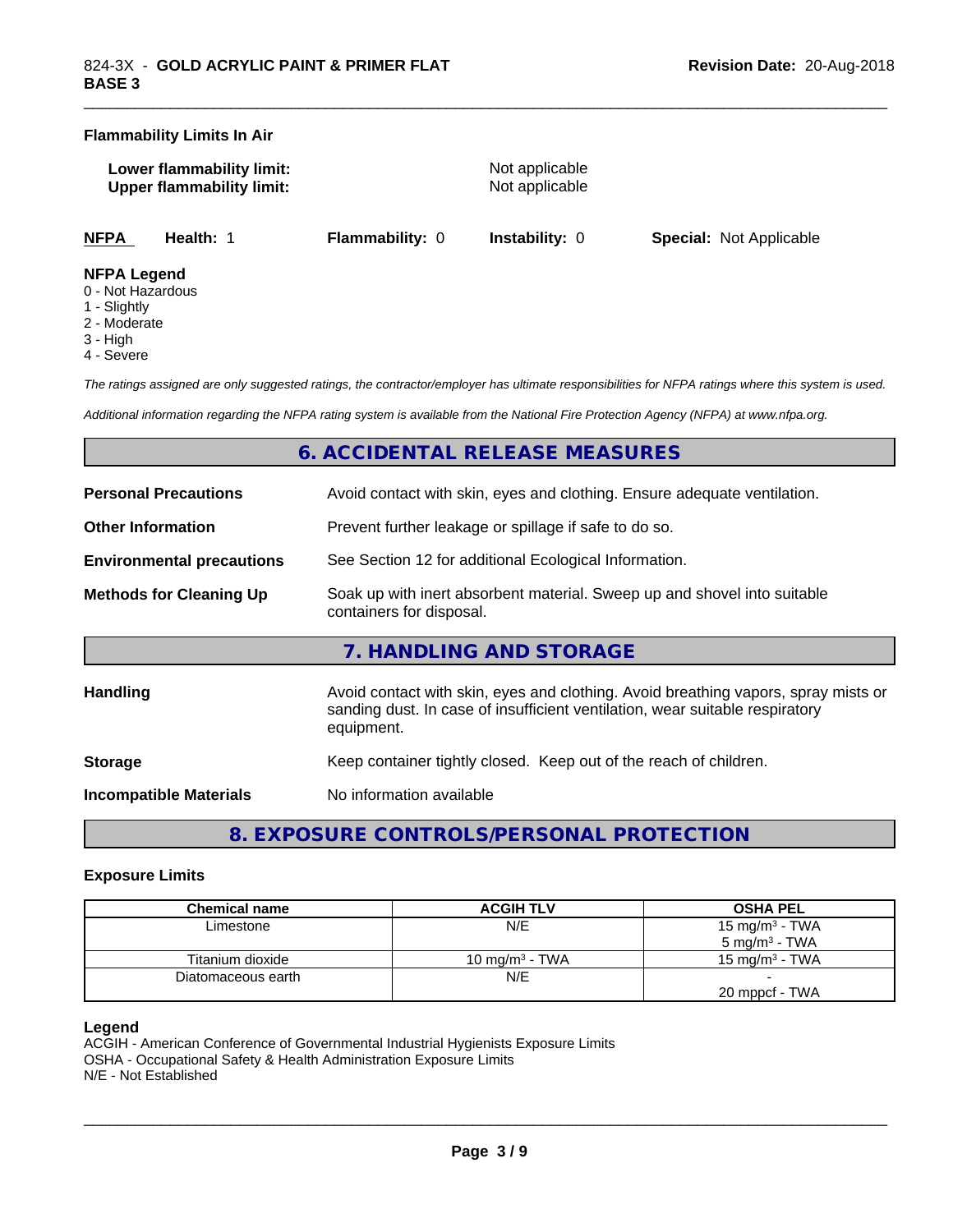#### **Flammability Limits In Air**

| Lower flammability limit:        |  |
|----------------------------------|--|
| <b>Upper flammability limit:</b> |  |

**Not applicable Not applicable** 

\_\_\_\_\_\_\_\_\_\_\_\_\_\_\_\_\_\_\_\_\_\_\_\_\_\_\_\_\_\_\_\_\_\_\_\_\_\_\_\_\_\_\_\_\_\_\_\_\_\_\_\_\_\_\_\_\_\_\_\_\_\_\_\_\_\_\_\_\_\_\_\_\_\_\_\_\_\_\_\_\_\_\_\_\_\_\_\_\_\_\_\_\_

**NFPA Health:** 1 **Flammability:** 0 **Instability:** 0 **Special:** Not Applicable

#### **NFPA Legend**

- 0 Not Hazardous
- 1 Slightly
- 2 Moderate
- 3 High
- 4 Severe

*The ratings assigned are only suggested ratings, the contractor/employer has ultimate responsibilities for NFPA ratings where this system is used.*

*Additional information regarding the NFPA rating system is available from the National Fire Protection Agency (NFPA) at www.nfpa.org.*

## **6. ACCIDENTAL RELEASE MEASURES**

| <b>Personal Precautions</b>      | Avoid contact with skin, eyes and clothing. Ensure adequate ventilation.                                                                                                         |  |
|----------------------------------|----------------------------------------------------------------------------------------------------------------------------------------------------------------------------------|--|
| <b>Other Information</b>         | Prevent further leakage or spillage if safe to do so.                                                                                                                            |  |
| <b>Environmental precautions</b> | See Section 12 for additional Ecological Information.                                                                                                                            |  |
| <b>Methods for Cleaning Up</b>   | Soak up with inert absorbent material. Sweep up and shovel into suitable<br>containers for disposal.                                                                             |  |
|                                  | 7. HANDLING AND STORAGE                                                                                                                                                          |  |
| <b>Handling</b>                  | Avoid contact with skin, eyes and clothing. Avoid breathing vapors, spray mists or<br>sanding dust. In case of insufficient ventilation, wear suitable respiratory<br>equipment. |  |
| <b>Storage</b>                   | Keep container tightly closed. Keep out of the reach of children.                                                                                                                |  |
|                                  |                                                                                                                                                                                  |  |

**Incompatible Materials** No information available

**8. EXPOSURE CONTROLS/PERSONAL PROTECTION**

#### **Exposure Limits**

| Chemical name      | <b>ACGIH TLV</b>  | <b>OSHA PEL</b>          |
|--------------------|-------------------|--------------------------|
| Limestone          | N/E               | 15 mg/m $3$ - TWA        |
|                    |                   | $5 \text{ ma/m}^3$ - TWA |
| Titanium dioxide   | 10 mg/m $3$ - TWA | 15 mg/m $3$ - TWA        |
| Diatomaceous earth | N/E               |                          |
|                    |                   | 20 mppcf - TWA           |

#### **Legend**

ACGIH - American Conference of Governmental Industrial Hygienists Exposure Limits OSHA - Occupational Safety & Health Administration Exposure Limits N/E - Not Established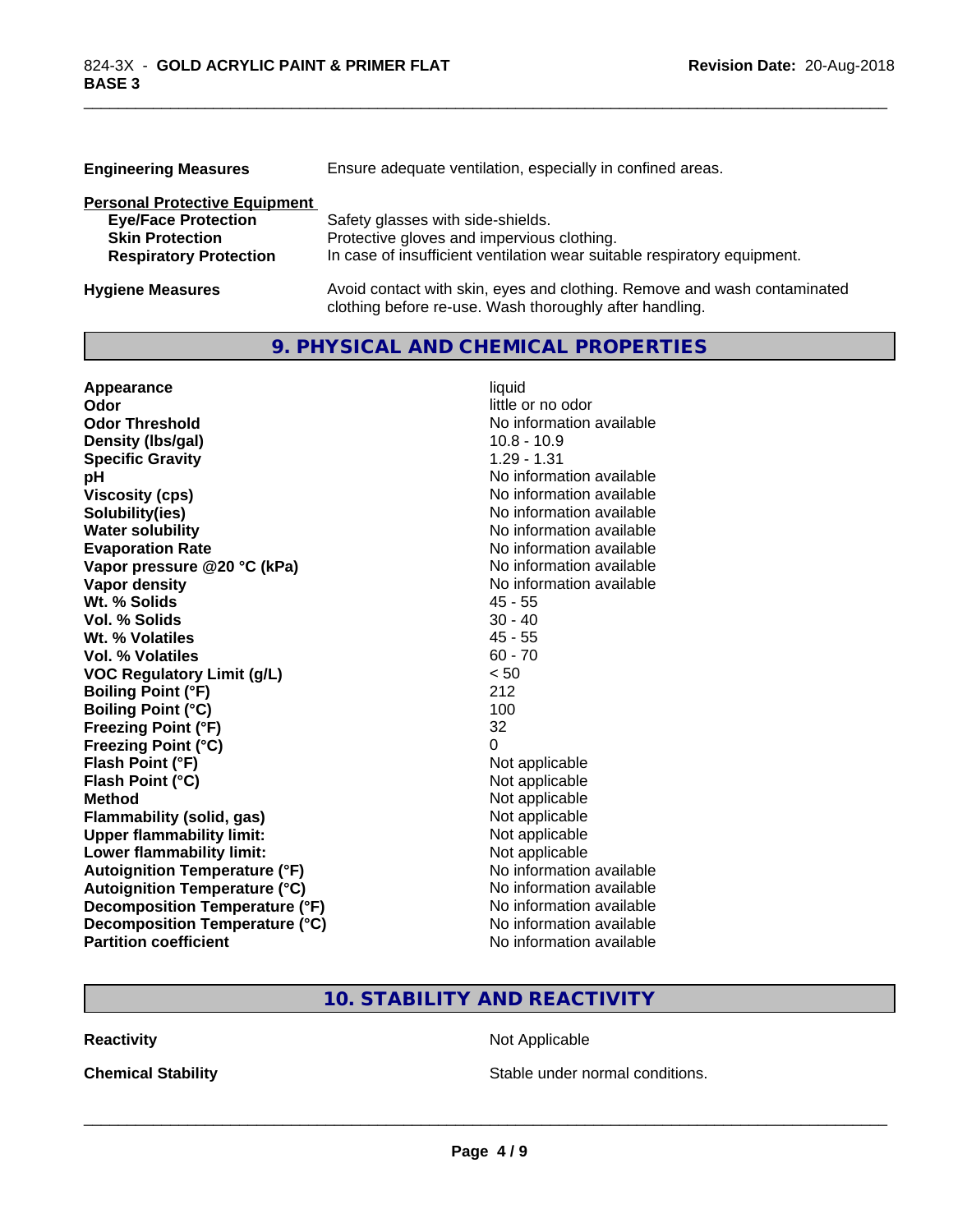| <b>Engineering Measures</b>          | Ensure adequate ventilation, especially in confined areas.               |  |  |
|--------------------------------------|--------------------------------------------------------------------------|--|--|
| <b>Personal Protective Equipment</b> |                                                                          |  |  |
| <b>Eye/Face Protection</b>           | Safety glasses with side-shields.                                        |  |  |
| <b>Skin Protection</b>               | Protective gloves and impervious clothing.                               |  |  |
| <b>Respiratory Protection</b>        | In case of insufficient ventilation wear suitable respiratory equipment. |  |  |
| <b>Hygiene Measures</b>              | Avoid contact with skin, eyes and clothing. Remove and wash contaminated |  |  |

clothing before re-use. Wash thoroughly after handling.

\_\_\_\_\_\_\_\_\_\_\_\_\_\_\_\_\_\_\_\_\_\_\_\_\_\_\_\_\_\_\_\_\_\_\_\_\_\_\_\_\_\_\_\_\_\_\_\_\_\_\_\_\_\_\_\_\_\_\_\_\_\_\_\_\_\_\_\_\_\_\_\_\_\_\_\_\_\_\_\_\_\_\_\_\_\_\_\_\_\_\_\_\_

## **9. PHYSICAL AND CHEMICAL PROPERTIES**

| Appearance                           | liquid                   |
|--------------------------------------|--------------------------|
| Odor                                 | little or no odor        |
| <b>Odor Threshold</b>                | No information available |
| Density (Ibs/gal)                    | $10.8 - 10.9$            |
| <b>Specific Gravity</b>              | $1.29 - 1.31$            |
| pH                                   | No information available |
| <b>Viscosity (cps)</b>               | No information available |
| Solubility(ies)                      | No information available |
| <b>Water solubility</b>              | No information available |
| <b>Evaporation Rate</b>              | No information available |
| Vapor pressure @20 °C (kPa)          | No information available |
| Vapor density                        | No information available |
| Wt. % Solids                         | $45 - 55$                |
| Vol. % Solids                        | $30 - 40$                |
| Wt. % Volatiles                      | $45 - 55$                |
| Vol. % Volatiles                     | $60 - 70$                |
| <b>VOC Regulatory Limit (g/L)</b>    | < 50                     |
| <b>Boiling Point (°F)</b>            | 212                      |
| <b>Boiling Point (°C)</b>            | 100                      |
| <b>Freezing Point (°F)</b>           | 32                       |
| <b>Freezing Point (°C)</b>           | 0                        |
| Flash Point (°F)                     | Not applicable           |
| Flash Point (°C)                     | Not applicable           |
| <b>Method</b>                        | Not applicable           |
| <b>Flammability (solid, gas)</b>     | Not applicable           |
| <b>Upper flammability limit:</b>     | Not applicable           |
| Lower flammability limit:            | Not applicable           |
| <b>Autoignition Temperature (°F)</b> | No information available |
| <b>Autoignition Temperature (°C)</b> | No information available |
| Decomposition Temperature (°F)       | No information available |
| Decomposition Temperature (°C)       | No information available |
| <b>Partition coefficient</b>         | No information available |

## **10. STABILITY AND REACTIVITY**

**Reactivity Not Applicable** Not Applicable

**Chemical Stability Chemical Stability** Stable under normal conditions.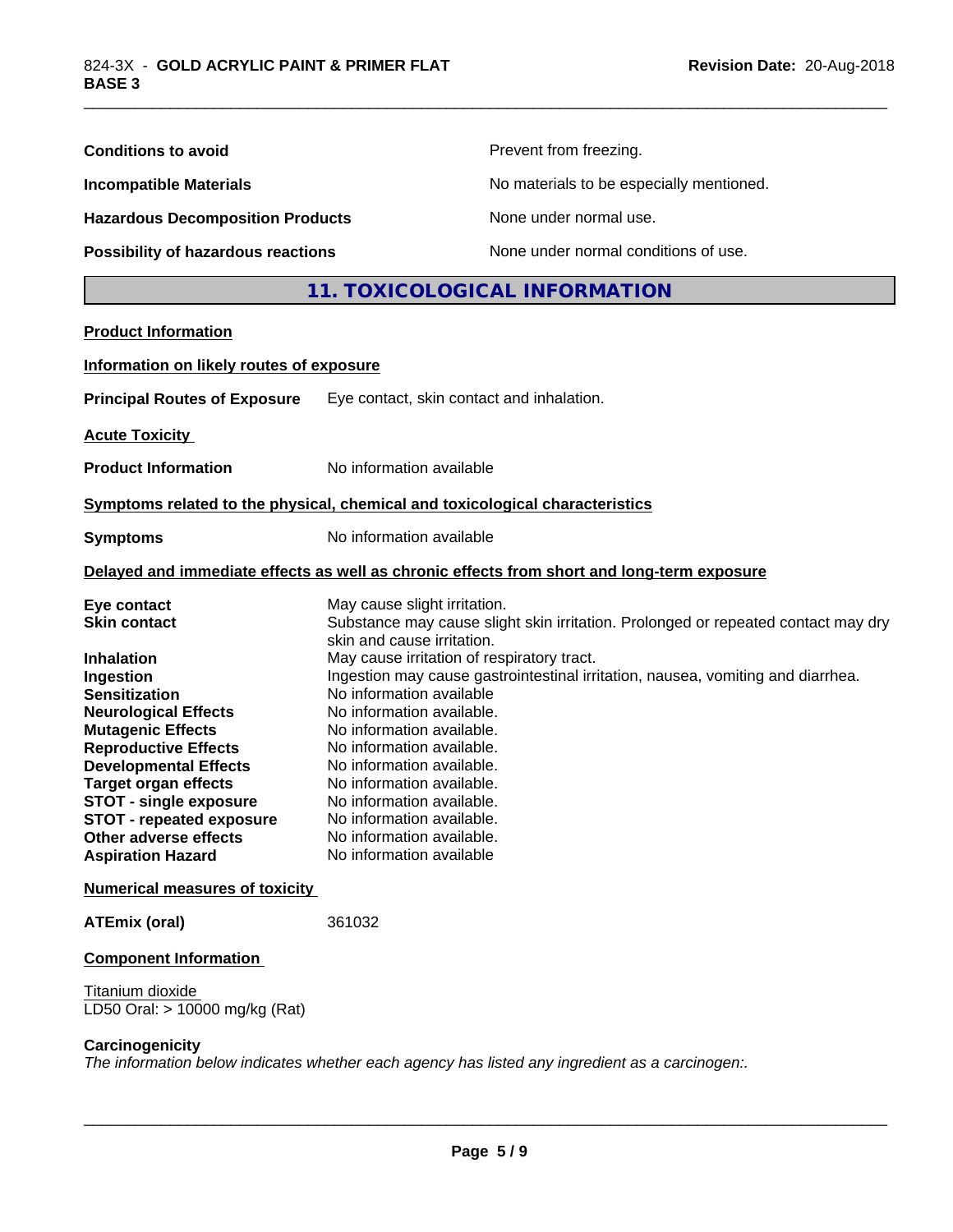| <b>Conditions to avoid</b>                                                                                                                                                                                                                                                                                                                                                            |                                                                                                                                                                                                                                                                                                                                                                                                          | Prevent from freezing.                                                                                                                                               |  |
|---------------------------------------------------------------------------------------------------------------------------------------------------------------------------------------------------------------------------------------------------------------------------------------------------------------------------------------------------------------------------------------|----------------------------------------------------------------------------------------------------------------------------------------------------------------------------------------------------------------------------------------------------------------------------------------------------------------------------------------------------------------------------------------------------------|----------------------------------------------------------------------------------------------------------------------------------------------------------------------|--|
| <b>Incompatible Materials</b><br><b>Hazardous Decomposition Products</b>                                                                                                                                                                                                                                                                                                              |                                                                                                                                                                                                                                                                                                                                                                                                          | No materials to be especially mentioned.                                                                                                                             |  |
|                                                                                                                                                                                                                                                                                                                                                                                       |                                                                                                                                                                                                                                                                                                                                                                                                          | None under normal use.                                                                                                                                               |  |
| <b>Possibility of hazardous reactions</b>                                                                                                                                                                                                                                                                                                                                             |                                                                                                                                                                                                                                                                                                                                                                                                          | None under normal conditions of use.                                                                                                                                 |  |
|                                                                                                                                                                                                                                                                                                                                                                                       |                                                                                                                                                                                                                                                                                                                                                                                                          | 11. TOXICOLOGICAL INFORMATION                                                                                                                                        |  |
| <b>Product Information</b>                                                                                                                                                                                                                                                                                                                                                            |                                                                                                                                                                                                                                                                                                                                                                                                          |                                                                                                                                                                      |  |
| Information on likely routes of exposure                                                                                                                                                                                                                                                                                                                                              |                                                                                                                                                                                                                                                                                                                                                                                                          |                                                                                                                                                                      |  |
| <b>Principal Routes of Exposure</b>                                                                                                                                                                                                                                                                                                                                                   | Eye contact, skin contact and inhalation.                                                                                                                                                                                                                                                                                                                                                                |                                                                                                                                                                      |  |
| <b>Acute Toxicity</b>                                                                                                                                                                                                                                                                                                                                                                 |                                                                                                                                                                                                                                                                                                                                                                                                          |                                                                                                                                                                      |  |
| <b>Product Information</b>                                                                                                                                                                                                                                                                                                                                                            | No information available                                                                                                                                                                                                                                                                                                                                                                                 |                                                                                                                                                                      |  |
| Symptoms related to the physical, chemical and toxicological characteristics                                                                                                                                                                                                                                                                                                          |                                                                                                                                                                                                                                                                                                                                                                                                          |                                                                                                                                                                      |  |
| <b>Symptoms</b>                                                                                                                                                                                                                                                                                                                                                                       | No information available                                                                                                                                                                                                                                                                                                                                                                                 |                                                                                                                                                                      |  |
|                                                                                                                                                                                                                                                                                                                                                                                       |                                                                                                                                                                                                                                                                                                                                                                                                          | Delayed and immediate effects as well as chronic effects from short and long-term exposure                                                                           |  |
| Eye contact<br><b>Skin contact</b><br><b>Inhalation</b><br>Ingestion<br><b>Sensitization</b><br><b>Neurological Effects</b><br><b>Mutagenic Effects</b><br><b>Reproductive Effects</b><br><b>Developmental Effects</b><br><b>Target organ effects</b><br><b>STOT - single exposure</b><br><b>STOT - repeated exposure</b><br><b>Other adverse effects</b><br><b>Aspiration Hazard</b> | May cause slight irritation.<br>skin and cause irritation.<br>May cause irritation of respiratory tract.<br>No information available<br>No information available.<br>No information available.<br>No information available.<br>No information available.<br>No information available.<br>No information available.<br>No information available.<br>No information available.<br>No information available | Substance may cause slight skin irritation. Prolonged or repeated contact may dry<br>Ingestion may cause gastrointestinal irritation, nausea, vomiting and diarrhea. |  |
| <b>Numerical measures of toxicity</b>                                                                                                                                                                                                                                                                                                                                                 |                                                                                                                                                                                                                                                                                                                                                                                                          |                                                                                                                                                                      |  |
| <b>ATEmix (oral)</b>                                                                                                                                                                                                                                                                                                                                                                  | 361032                                                                                                                                                                                                                                                                                                                                                                                                   |                                                                                                                                                                      |  |
| <b>Component Information</b>                                                                                                                                                                                                                                                                                                                                                          |                                                                                                                                                                                                                                                                                                                                                                                                          |                                                                                                                                                                      |  |
| Titanium dioxide<br>LD50 Oral: > 10000 mg/kg (Rat)                                                                                                                                                                                                                                                                                                                                    |                                                                                                                                                                                                                                                                                                                                                                                                          |                                                                                                                                                                      |  |
| Carcinogenicity                                                                                                                                                                                                                                                                                                                                                                       |                                                                                                                                                                                                                                                                                                                                                                                                          | The information below indicates whether each agency has listed any ingredient as a carcinogen:.                                                                      |  |

\_\_\_\_\_\_\_\_\_\_\_\_\_\_\_\_\_\_\_\_\_\_\_\_\_\_\_\_\_\_\_\_\_\_\_\_\_\_\_\_\_\_\_\_\_\_\_\_\_\_\_\_\_\_\_\_\_\_\_\_\_\_\_\_\_\_\_\_\_\_\_\_\_\_\_\_\_\_\_\_\_\_\_\_\_\_\_\_\_\_\_\_\_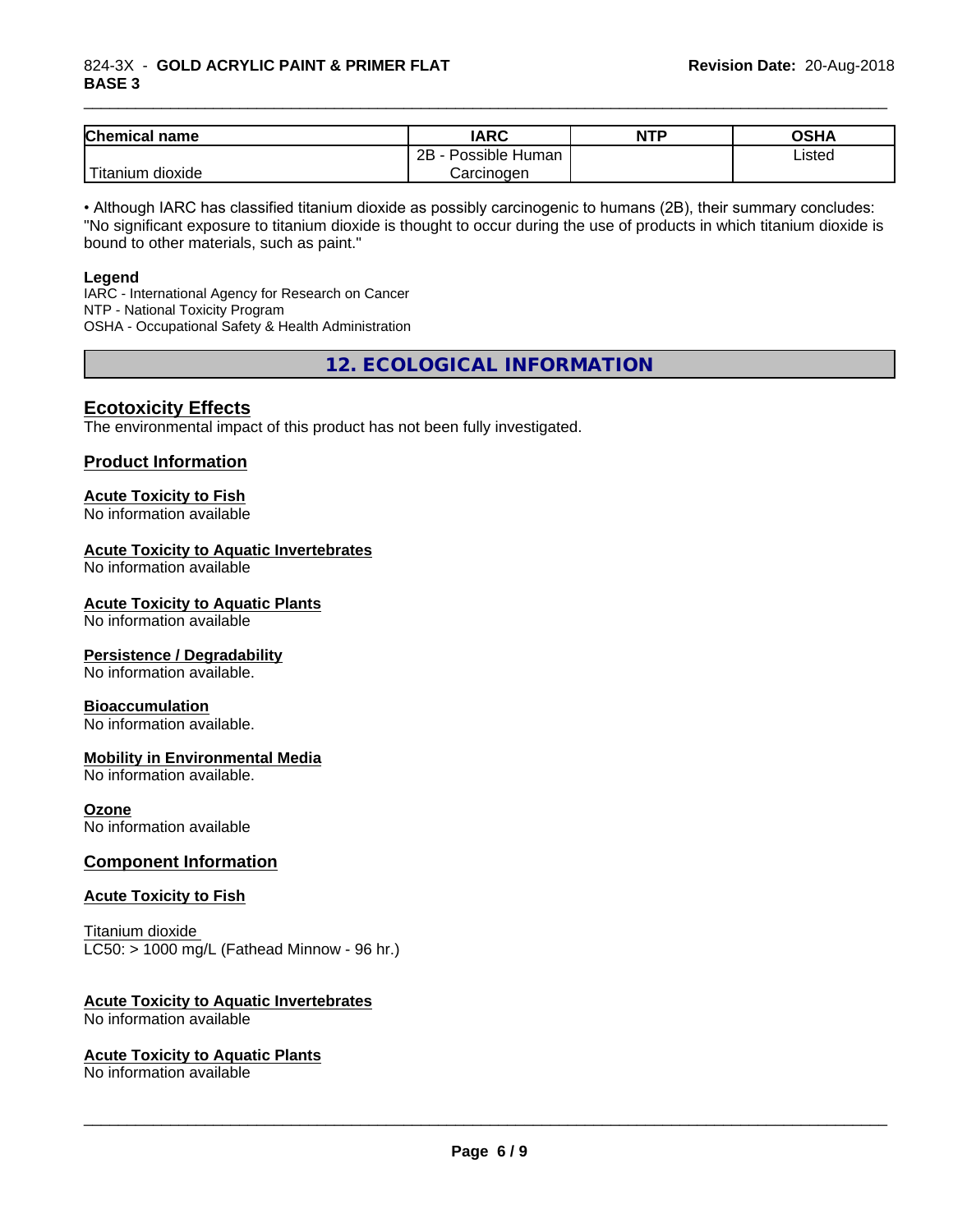| Chemical<br>∣ name                                                                                                                        | <b>IARC</b>               | <b>NTP</b> | OSHA   |
|-------------------------------------------------------------------------------------------------------------------------------------------|---------------------------|------------|--------|
|                                                                                                                                           | .<br>2B<br>Possible Human |            | Listed |
| <b>The Contract of the Contract of the Contract of the Contract of the Contract of the Contract of the Contract o</b><br>Titanium dioxide | Carcinogen                |            |        |

\_\_\_\_\_\_\_\_\_\_\_\_\_\_\_\_\_\_\_\_\_\_\_\_\_\_\_\_\_\_\_\_\_\_\_\_\_\_\_\_\_\_\_\_\_\_\_\_\_\_\_\_\_\_\_\_\_\_\_\_\_\_\_\_\_\_\_\_\_\_\_\_\_\_\_\_\_\_\_\_\_\_\_\_\_\_\_\_\_\_\_\_\_

• Although IARC has classified titanium dioxide as possibly carcinogenic to humans (2B), their summary concludes: "No significant exposure to titanium dioxide is thought to occur during the use of products in which titanium dioxide is bound to other materials, such as paint."

#### **Legend**

IARC - International Agency for Research on Cancer NTP - National Toxicity Program OSHA - Occupational Safety & Health Administration

**12. ECOLOGICAL INFORMATION**

#### **Ecotoxicity Effects**

The environmental impact of this product has not been fully investigated.

#### **Product Information**

## **Acute Toxicity to Fish**

No information available

#### **Acute Toxicity to Aquatic Invertebrates**

No information available

#### **Acute Toxicity to Aquatic Plants**

No information available

#### **Persistence / Degradability**

No information available.

#### **Bioaccumulation**

No information available.

#### **Mobility in Environmental Media**

No information available.

#### **Ozone**

No information available

#### **Component Information**

#### **Acute Toxicity to Fish**

Titanium dioxide  $LC50:$  > 1000 mg/L (Fathead Minnow - 96 hr.)

#### **Acute Toxicity to Aquatic Invertebrates**

No information available

#### **Acute Toxicity to Aquatic Plants**

No information available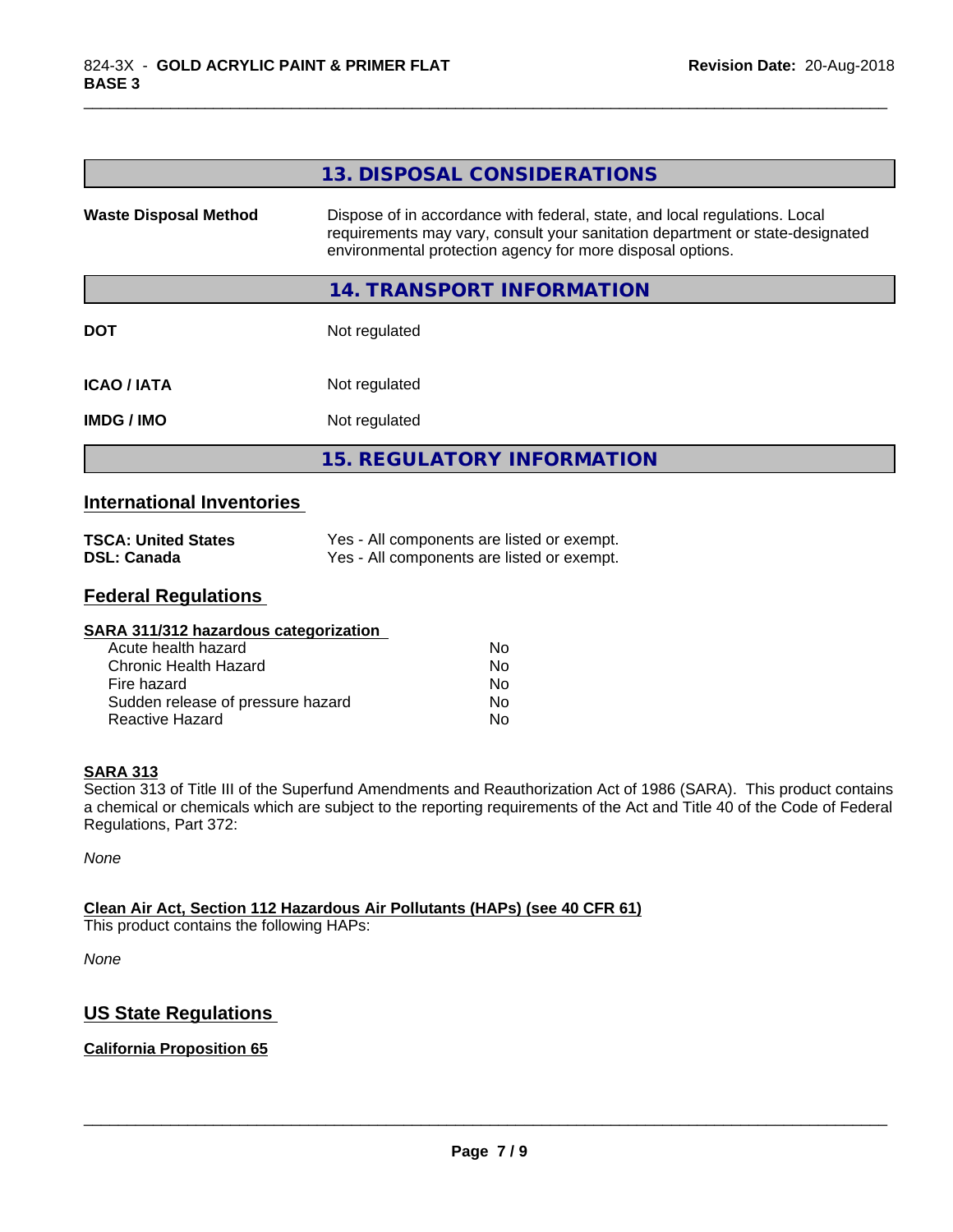|                              | 13. DISPOSAL CONSIDERATIONS                                                                                                                                                                                               |
|------------------------------|---------------------------------------------------------------------------------------------------------------------------------------------------------------------------------------------------------------------------|
| <b>Waste Disposal Method</b> | Dispose of in accordance with federal, state, and local regulations. Local<br>requirements may vary, consult your sanitation department or state-designated<br>environmental protection agency for more disposal options. |
|                              | 14. TRANSPORT INFORMATION                                                                                                                                                                                                 |
| <b>DOT</b>                   | Not regulated                                                                                                                                                                                                             |
| <b>ICAO/IATA</b>             | Not regulated                                                                                                                                                                                                             |
| <b>IMDG/IMO</b>              | Not regulated                                                                                                                                                                                                             |
|                              | <b>15. REGULATORY INFORMATION</b>                                                                                                                                                                                         |
| .                            |                                                                                                                                                                                                                           |

\_\_\_\_\_\_\_\_\_\_\_\_\_\_\_\_\_\_\_\_\_\_\_\_\_\_\_\_\_\_\_\_\_\_\_\_\_\_\_\_\_\_\_\_\_\_\_\_\_\_\_\_\_\_\_\_\_\_\_\_\_\_\_\_\_\_\_\_\_\_\_\_\_\_\_\_\_\_\_\_\_\_\_\_\_\_\_\_\_\_\_\_\_

#### **International Inventories**

| <b>TSCA: United States</b> | Yes - All components are listed or exempt. |
|----------------------------|--------------------------------------------|
| <b>DSL: Canada</b>         | Yes - All components are listed or exempt. |

## **Federal Regulations**

| SARA 311/312 hazardous categorization |    |  |
|---------------------------------------|----|--|
| Acute health hazard                   | Nο |  |
| Chronic Health Hazard                 | No |  |
| Fire hazard                           | No |  |
| Sudden release of pressure hazard     | Nο |  |
| Reactive Hazard                       | No |  |

#### **SARA 313**

Section 313 of Title III of the Superfund Amendments and Reauthorization Act of 1986 (SARA). This product contains a chemical or chemicals which are subject to the reporting requirements of the Act and Title 40 of the Code of Federal Regulations, Part 372:

*None*

#### **Clean Air Act,Section 112 Hazardous Air Pollutants (HAPs) (see 40 CFR 61)**

This product contains the following HAPs:

*None*

## **US State Regulations**

#### **California Proposition 65**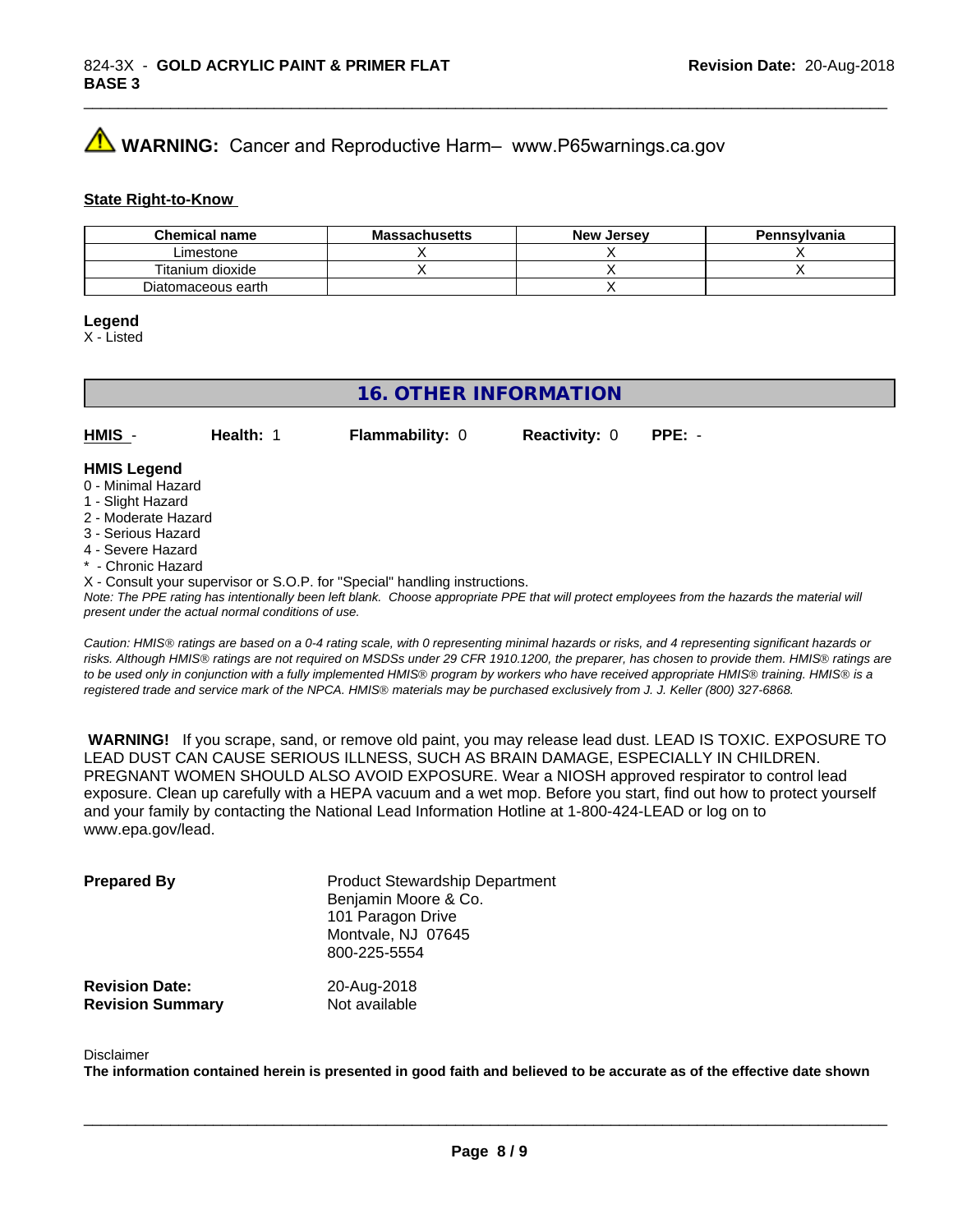# **A** WARNING: Cancer and Reproductive Harm– www.P65warnings.ca.gov

#### **State Right-to-Know**

| <b>Chemical name</b> | <b>Massachusetts</b> | <b>New Jersey</b> | Pennsylvania |
|----------------------|----------------------|-------------------|--------------|
| Limestone            |                      |                   |              |
| Titanium dioxide     |                      |                   |              |
| Diatomaceous earth   |                      |                   |              |

#### **Legend**

X - Listed

## **16. OTHER INFORMATION**

**HMIS** - **Health:** 1 **Flammability:** 0 **Reactivity:** 0 **PPE:** -

#### **HMIS Legend**

- 0 Minimal Hazard
- 1 Slight Hazard
- 2 Moderate Hazard
- 3 Serious Hazard
- 4 Severe Hazard
- Chronic Hazard
- X Consult your supervisor or S.O.P. for "Special" handling instructions.

*Note: The PPE rating has intentionally been left blank. Choose appropriate PPE that will protect employees from the hazards the material will present under the actual normal conditions of use.*

*Caution: HMISÒ ratings are based on a 0-4 rating scale, with 0 representing minimal hazards or risks, and 4 representing significant hazards or risks. Although HMISÒ ratings are not required on MSDSs under 29 CFR 1910.1200, the preparer, has chosen to provide them. HMISÒ ratings are to be used only in conjunction with a fully implemented HMISÒ program by workers who have received appropriate HMISÒ training. HMISÒ is a registered trade and service mark of the NPCA. HMISÒ materials may be purchased exclusively from J. J. Keller (800) 327-6868.*

 **WARNING!** If you scrape, sand, or remove old paint, you may release lead dust. LEAD IS TOXIC. EXPOSURE TO LEAD DUST CAN CAUSE SERIOUS ILLNESS, SUCH AS BRAIN DAMAGE, ESPECIALLY IN CHILDREN. PREGNANT WOMEN SHOULD ALSO AVOID EXPOSURE.Wear a NIOSH approved respirator to control lead exposure. Clean up carefully with a HEPA vacuum and a wet mop. Before you start, find out how to protect yourself and your family by contacting the National Lead Information Hotline at 1-800-424-LEAD or log on to www.epa.gov/lead.

| <b>Prepared By</b>      | <b>Product Stewardship Department</b><br>Benjamin Moore & Co.<br>101 Paragon Drive<br>Montvale, NJ 07645<br>800-225-5554 |
|-------------------------|--------------------------------------------------------------------------------------------------------------------------|
| <b>Revision Date:</b>   | 20-Aug-2018                                                                                                              |
| <b>Revision Summary</b> | Not available                                                                                                            |

#### Disclaimer

The information contained herein is presented in good faith and believed to be accurate as of the effective date shown